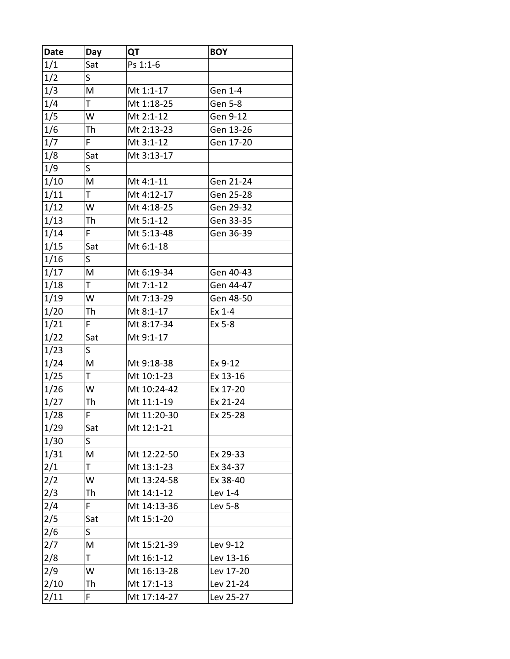| <b>Date</b> | Day | QT          | <b>BOY</b> |
|-------------|-----|-------------|------------|
| 1/1         | Sat | Ps 1:1-6    |            |
| 1/2         | S   |             |            |
| 1/3         | M   | Mt 1:1-17   | Gen 1-4    |
| 1/4         | T   | Mt 1:18-25  | Gen 5-8    |
| 1/5         | W   | Mt 2:1-12   | Gen 9-12   |
| 1/6         | Th  | Mt 2:13-23  | Gen 13-26  |
| 1/7         | F   | Mt 3:1-12   | Gen 17-20  |
| 1/8         | Sat | Mt 3:13-17  |            |
| 1/9         | S   |             |            |
| 1/10        | M   | Mt 4:1-11   | Gen 21-24  |
| 1/11        | T.  | Mt 4:12-17  | Gen 25-28  |
| 1/12        | W   | Mt 4:18-25  | Gen 29-32  |
| 1/13        | Th  | Mt 5:1-12   | Gen 33-35  |
| 1/14        | F   | Mt 5:13-48  | Gen 36-39  |
| 1/15        | Sat | Mt 6:1-18   |            |
| 1/16        | S   |             |            |
| 1/17        | M   | Mt 6:19-34  | Gen 40-43  |
| 1/18        | T.  | Mt 7:1-12   | Gen 44-47  |
| 1/19        | W   | Mt 7:13-29  | Gen 48-50  |
| 1/20        | Th  | Mt 8:1-17   | Ex 1-4     |
| 1/21        | F.  | Mt 8:17-34  | Ex 5-8     |
| 1/22        | Sat | Mt 9:1-17   |            |
| 1/23        | S   |             |            |
| 1/24        | M   | Mt 9:18-38  | Ex 9-12    |
| 1/25        | T.  | Mt 10:1-23  | Ex 13-16   |
| 1/26        | W   | Mt 10:24-42 | Ex 17-20   |
| 1/27        | Th  | Mt 11:1-19  | Ex 21-24   |
| 1/28        | F   | Mt 11:20-30 | Ex 25-28   |
| 1/29        | Sat | Mt 12:1-21  |            |
| 1/30        | S   |             |            |
| 1/31        | M   | Mt 12:22-50 | Ex 29-33   |
| 2/1         | T.  | Mt 13:1-23  | Ex 34-37   |
| 2/2         | W   | Mt 13:24-58 | Ex 38-40   |
| 2/3         | Th  | Mt 14:1-12  | Lev 1-4    |
| 2/4         | F   | Mt 14:13-36 | Lev 5-8    |
| 2/5         | Sat | Mt 15:1-20  |            |
| 2/6         | S.  |             |            |
| 2/7         | M   | Mt 15:21-39 | Lev 9-12   |
| 2/8         | T   | Mt 16:1-12  | Lev 13-16  |
| 2/9         | W   | Mt 16:13-28 | Lev 17-20  |
| 2/10        | Th  | Mt 17:1-13  | Lev 21-24  |
| 2/11        | F   | Mt 17:14-27 | Lev 25-27  |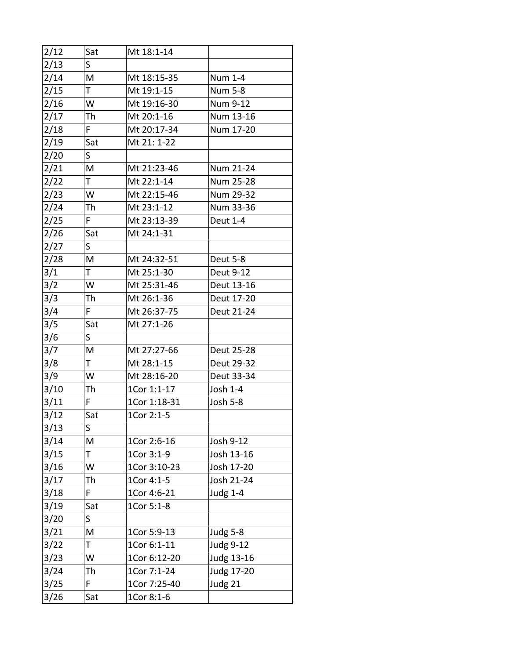| 2/12 | Sat         | Mt 18:1-14   |                  |
|------|-------------|--------------|------------------|
| 2/13 | $\mathsf S$ |              |                  |
| 2/14 | M           | Mt 18:15-35  | Num 1-4          |
| 2/15 | Τ           | Mt 19:1-15   | <b>Num 5-8</b>   |
| 2/16 | W           | Mt 19:16-30  | Num 9-12         |
| 2/17 | Th          | Mt 20:1-16   | Num 13-16        |
| 2/18 | F           | Mt 20:17-34  | Num 17-20        |
| 2/19 | Sat         | Mt 21: 1-22  |                  |
| 2/20 | S           |              |                  |
| 2/21 | M           | Mt 21:23-46  | Num 21-24        |
| 2/22 | Τ           | Mt 22:1-14   | Num 25-28        |
| 2/23 | W           | Mt 22:15-46  | Num 29-32        |
| 2/24 | Th          | Mt 23:1-12   | Num 33-36        |
| 2/25 | F.          | Mt 23:13-39  | Deut 1-4         |
| 2/26 | Sat         | Mt 24:1-31   |                  |
| 2/27 | S.          |              |                  |
| 2/28 | M           | Mt 24:32-51  | Deut 5-8         |
| 3/1  | T.          | Mt 25:1-30   | Deut 9-12        |
| 3/2  | W           | Mt 25:31-46  | Deut 13-16       |
| 3/3  | Th          | Mt 26:1-36   | Deut 17-20       |
| 3/4  | F.          | Mt 26:37-75  | Deut 21-24       |
| 3/5  | Sat         | Mt 27:1-26   |                  |
| 3/6  | S.          |              |                  |
| 3/7  | M           | Mt 27:27-66  | Deut 25-28       |
| 3/8  | T           | Mt 28:1-15   | Deut 29-32       |
| 3/9  | W           | Mt 28:16-20  | Deut 33-34       |
| 3/10 | Th          | 1Cor 1:1-17  | Josh 1-4         |
| 3/11 | F.          | 1Cor 1:18-31 | Josh 5-8         |
| 3/12 | Sat         | 1Cor 2:1-5   |                  |
| 3/13 | S           |              |                  |
| 3/14 | M           | 1Cor 2:6-16  | Josh 9-12        |
| 3/15 | Т           | 1Cor 3:1-9   | Josh 13-16       |
| 3/16 | W           | 1Cor 3:10-23 | Josh 17-20       |
| 3/17 | Th          | 1Cor 4:1-5   | Josh 21-24       |
| 3/18 | F           | 1Cor 4:6-21  | Judg 1-4         |
| 3/19 | Sat         | 1Cor 5:1-8   |                  |
| 3/20 | S           |              |                  |
| 3/21 | M           | 1Cor 5:9-13  | Judg 5-8         |
| 3/22 | Τ           | 1Cor 6:1-11  | <b>Judg 9-12</b> |
| 3/23 | W           | 1Cor 6:12-20 | Judg 13-16       |
| 3/24 | Th          | 1Cor 7:1-24  | Judg 17-20       |
| 3/25 | F           | 1Cor 7:25-40 | Judg 21          |
| 3/26 | Sat         | 1Cor 8:1-6   |                  |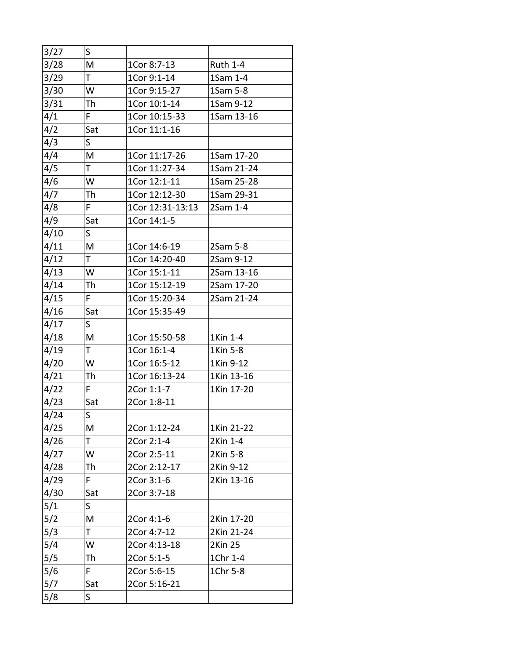| 3/27 | S.  |                  |                 |
|------|-----|------------------|-----------------|
| 3/28 | M   | 1Cor 8:7-13      | <b>Ruth 1-4</b> |
| 3/29 | T   | 1Cor 9:1-14      | 1Sam 1-4        |
| 3/30 | W   | 1Cor 9:15-27     | 1Sam 5-8        |
| 3/31 | Th  | 1Cor 10:1-14     | 1Sam 9-12       |
| 4/1  | F.  | 1Cor 10:15-33    | 1Sam 13-16      |
| 4/2  | Sat | 1Cor 11:1-16     |                 |
| 4/3  | S   |                  |                 |
| 4/4  | M   | 1Cor 11:17-26    | 1Sam 17-20      |
| 4/5  | T   | 1Cor 11:27-34    | 1Sam 21-24      |
| 4/6  | W   | 1Cor 12:1-11     | 1Sam 25-28      |
| 4/7  | Th  | 1Cor 12:12-30    | 1Sam 29-31      |
| 4/8  | F.  | 1Cor 12:31-13:13 | 2Sam 1-4        |
| 4/9  | Sat | 1Cor 14:1-5      |                 |
| 4/10 | S.  |                  |                 |
| 4/11 | M   | 1Cor 14:6-19     | 2Sam 5-8        |
| 4/12 | T   | 1Cor 14:20-40    | 2Sam 9-12       |
| 4/13 | W   | 1Cor 15:1-11     | 2Sam 13-16      |
| 4/14 | Th  | 1Cor 15:12-19    | 2Sam 17-20      |
| 4/15 | F   | 1Cor 15:20-34    | 2Sam 21-24      |
| 4/16 | Sat | 1Cor 15:35-49    |                 |
| 4/17 | S   |                  |                 |
| 4/18 | M   | 1Cor 15:50-58    | 1Kin 1-4        |
| 4/19 | Τ   | 1Cor 16:1-4      | 1Kin 5-8        |
| 4/20 | W   | 1Cor 16:5-12     | 1Kin 9-12       |
| 4/21 | Th  | 1Cor 16:13-24    | 1Kin 13-16      |
| 4/22 | F   | 2Cor 1:1-7       | 1Kin 17-20      |
| 4/23 | Sat | 2Cor 1:8-11      |                 |
| 4/24 | S   |                  |                 |
| 4/25 | M   | 2Cor 1:12-24     | 1Kin 21-22      |
| 4/26 | T.  | 2Cor 2:1-4       | 2Kin 1-4        |
| 4/27 | W   | 2Cor 2:5-11      | 2Kin 5-8        |
| 4/28 | Th  | 2Cor 2:12-17     | 2Kin 9-12       |
| 4/29 | F   | 2Cor 3:1-6       | 2Kin 13-16      |
| 4/30 | Sat | 2Cor 3:7-18      |                 |
| 5/1  | S.  |                  |                 |
| 5/2  | M   | 2Cor 4:1-6       | 2Kin 17-20      |
| 5/3  | Τ   | 2Cor 4:7-12      | 2Kin 21-24      |
| 5/4  | W   | 2Cor 4:13-18     | 2Kin 25         |
| 5/5  | Th  | 2Cor 5:1-5       | 1Chr 1-4        |
| 5/6  | F.  | 2Cor 5:6-15      | 1Chr 5-8        |
| 5/7  | Sat | 2Cor 5:16-21     |                 |
| 5/8  | S   |                  |                 |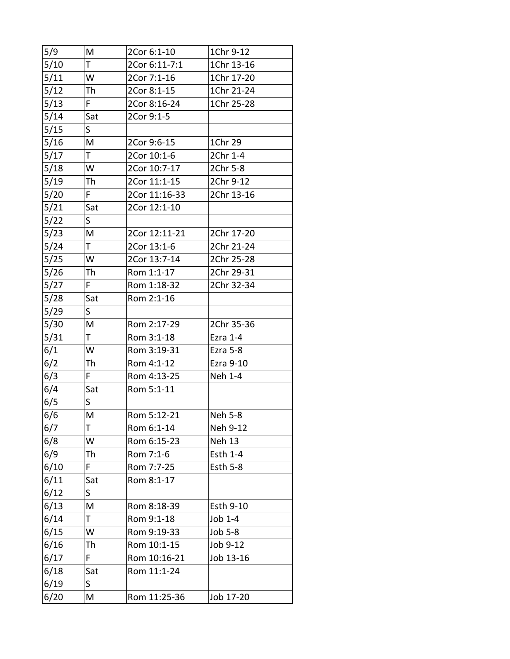| 5/9  | M            | 2Cor 6:1-10   | 1Chr 9-12       |
|------|--------------|---------------|-----------------|
| 5/10 | T.           | 2Cor 6:11-7:1 | 1Chr 13-16      |
| 5/11 | W            | 2Cor 7:1-16   | 1Chr 17-20      |
| 5/12 | Th           | 2Cor 8:1-15   | 1Chr 21-24      |
| 5/13 | F.           | 2Cor 8:16-24  | 1Chr 25-28      |
| 5/14 | Sat          | 2Cor 9:1-5    |                 |
| 5/15 | S            |               |                 |
| 5/16 | M            | 2Cor 9:6-15   | 1Chr 29         |
| 5/17 | Τ            | 2Cor 10:1-6   | 2Chr 1-4        |
| 5/18 | W            | 2Cor 10:7-17  | 2Chr 5-8        |
| 5/19 | Th           | 2Cor 11:1-15  | 2Chr 9-12       |
| 5/20 | F            | 2Cor 11:16-33 | 2Chr 13-16      |
| 5/21 | Sat          | 2Cor 12:1-10  |                 |
| 5/22 | S            |               |                 |
| 5/23 | M            | 2Cor 12:11-21 | 2Chr 17-20      |
| 5/24 | T.           | 2Cor 13:1-6   | 2Chr 21-24      |
| 5/25 | W            | 2Cor 13:7-14  | 2Chr 25-28      |
| 5/26 | Th           | Rom 1:1-17    | 2Chr 29-31      |
| 5/27 | F            | Rom 1:18-32   | 2Chr 32-34      |
| 5/28 | Sat          | Rom 2:1-16    |                 |
| 5/29 | S            |               |                 |
| 5/30 | M            | Rom 2:17-29   | 2Chr 35-36      |
| 5/31 | T.           | Rom 3:1-18    | Ezra 1-4        |
| 6/1  | W            | Rom 3:19-31   | Ezra 5-8        |
| 6/2  | Th           | Rom 4:1-12    | Ezra 9-10       |
| 6/3  | F.           | Rom 4:13-25   | Neh 1-4         |
| 6/4  | Sat          | Rom 5:1-11    |                 |
| 6/5  | $\mathsf{S}$ |               |                 |
| 6/6  | M            | Rom 5:12-21   | Neh 5-8         |
| 6/7  | Τ            | Rom 6:1-14    | Neh 9-12        |
| 6/8  | W            | Rom 6:15-23   | Neh 13          |
| 6/9  | Th           | Rom 7:1-6     | Esth 1-4        |
| 6/10 | F.           | Rom 7:7-25    | <b>Esth 5-8</b> |
| 6/11 | Sat          | Rom 8:1-17    |                 |
| 6/12 | S            |               |                 |
| 6/13 | Μ            | Rom 8:18-39   | Esth 9-10       |
| 6/14 | T            | Rom 9:1-18    | Job 1-4         |
| 6/15 | W            | Rom 9:19-33   | Job 5-8         |
| 6/16 | Th           | Rom 10:1-15   | Job 9-12        |
| 6/17 | F            | Rom 10:16-21  | Job 13-16       |
| 6/18 | Sat          | Rom 11:1-24   |                 |
| 6/19 | S            |               |                 |
| 6/20 | M            | Rom 11:25-36  | Job 17-20       |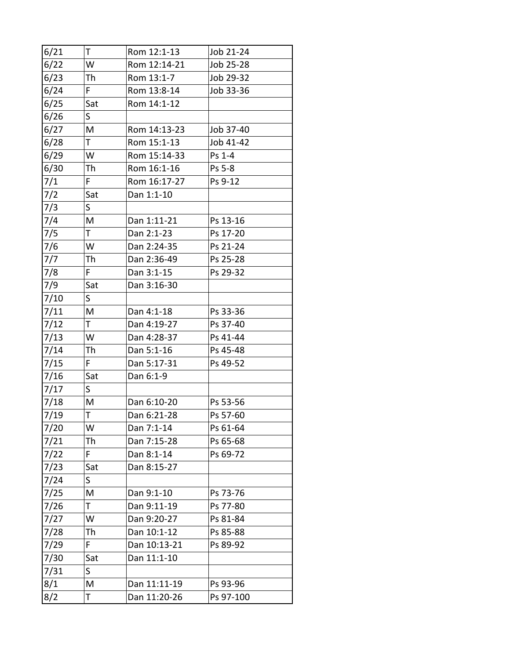| 6/21 | Τ   | Rom 12:1-13  | Job 21-24 |
|------|-----|--------------|-----------|
| 6/22 | W   | Rom 12:14-21 | Job 25-28 |
| 6/23 | Th  | Rom 13:1-7   | Job 29-32 |
| 6/24 | F   | Rom 13:8-14  | Job 33-36 |
| 6/25 | Sat | Rom 14:1-12  |           |
| 6/26 | S   |              |           |
| 6/27 | M   | Rom 14:13-23 | Job 37-40 |
| 6/28 | T.  | Rom 15:1-13  | Job 41-42 |
| 6/29 | W   | Rom 15:14-33 | Ps 1-4    |
| 6/30 | Th  | Rom 16:1-16  | Ps 5-8    |
| 7/1  | F.  | Rom 16:17-27 | Ps 9-12   |
| 7/2  | Sat | Dan 1:1-10   |           |
| 7/3  | S.  |              |           |
| 7/4  | M   | Dan 1:11-21  | Ps 13-16  |
| 7/5  | T   | Dan 2:1-23   | Ps 17-20  |
| 7/6  | W   | Dan 2:24-35  | Ps 21-24  |
| 7/7  | Th  | Dan 2:36-49  | Ps 25-28  |
| 7/8  | F.  | Dan 3:1-15   | Ps 29-32  |
| 7/9  | Sat | Dan 3:16-30  |           |
| 7/10 | S.  |              |           |
| 7/11 | M   | Dan 4:1-18   | Ps 33-36  |
| 7/12 | T.  | Dan 4:19-27  | Ps 37-40  |
| 7/13 | W   | Dan 4:28-37  | Ps 41-44  |
| 7/14 | Th  | Dan 5:1-16   | Ps 45-48  |
| 7/15 | F   | Dan 5:17-31  | Ps 49-52  |
| 7/16 | Sat | Dan 6:1-9    |           |
| 7/17 | S.  |              |           |
| 7/18 | M   | Dan 6:10-20  | Ps 53-56  |
| 7/19 | T   | Dan 6:21-28  | Ps 57-60  |
| 7/20 | W   | Dan 7:1-14   | Ps 61-64  |
| 7/21 | Th  | Dan 7:15-28  | Ps 65-68  |
| 7/22 | F   | Dan 8:1-14   | Ps 69-72  |
| 7/23 | Sat | Dan 8:15-27  |           |
| 7/24 | S   |              |           |
| 7/25 | M   | Dan 9:1-10   | Ps 73-76  |
| 7/26 | Τ   | Dan 9:11-19  | Ps 77-80  |
| 7/27 | W   | Dan 9:20-27  | Ps 81-84  |
| 7/28 | Th  | Dan 10:1-12  | Ps 85-88  |
| 7/29 | F   | Dan 10:13-21 | Ps 89-92  |
| 7/30 | Sat | Dan 11:1-10  |           |
| 7/31 | S   |              |           |
| 8/1  | M   | Dan 11:11-19 | Ps 93-96  |
| 8/2  | Τ   | Dan 11:20-26 | Ps 97-100 |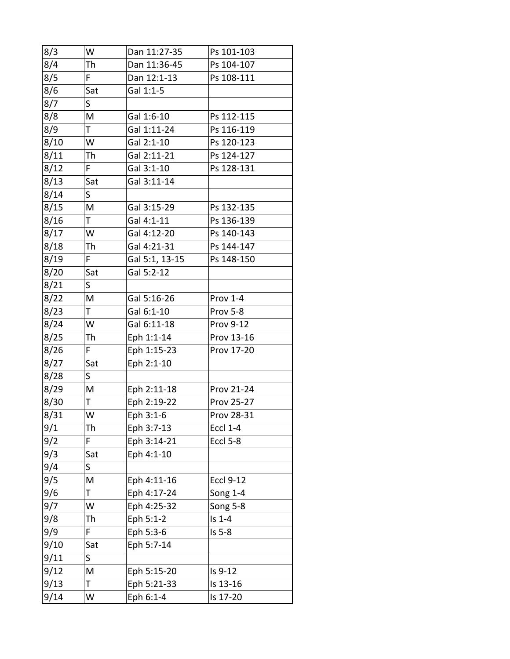| 8/3  | W   | Dan 11:27-35   | Ps 101-103       |
|------|-----|----------------|------------------|
| 8/4  | Th  | Dan 11:36-45   | Ps 104-107       |
| 8/5  | F   | Dan 12:1-13    | Ps 108-111       |
| 8/6  | Sat | Gal 1:1-5      |                  |
| 8/7  | S.  |                |                  |
| 8/8  | M   | Gal 1:6-10     | Ps 112-115       |
| 8/9  | T   | Gal 1:11-24    | Ps 116-119       |
| 8/10 | W   | Gal 2:1-10     | Ps 120-123       |
| 8/11 | Th  | Gal 2:11-21    | Ps 124-127       |
| 8/12 | F.  | Gal 3:1-10     | Ps 128-131       |
| 8/13 | Sat | Gal 3:11-14    |                  |
| 8/14 | S   |                |                  |
| 8/15 | M   | Gal 3:15-29    | Ps 132-135       |
| 8/16 | T.  | Gal 4:1-11     | Ps 136-139       |
| 8/17 | W   | Gal 4:12-20    | Ps 140-143       |
| 8/18 | Th  | Gal 4:21-31    | Ps 144-147       |
| 8/19 | F   | Gal 5:1, 13-15 | Ps 148-150       |
| 8/20 | Sat | Gal 5:2-12     |                  |
| 8/21 | S   |                |                  |
| 8/22 | M   | Gal 5:16-26    | Prov 1-4         |
| 8/23 | T.  | Gal 6:1-10     | Prov 5-8         |
| 8/24 | W   | Gal 6:11-18    | <b>Prov 9-12</b> |
| 8/25 | Th  | Eph 1:1-14     | Prov 13-16       |
| 8/26 | F.  | Eph 1:15-23    | Prov 17-20       |
| 8/27 | Sat | Eph 2:1-10     |                  |
| 8/28 | S.  |                |                  |
| 8/29 | M   | Eph 2:11-18    | Prov 21-24       |
| 8/30 | T   | Eph 2:19-22    | Prov 25-27       |
| 8/31 | W   | Eph 3:1-6      | Prov 28-31       |
| 9/1  | Th  | Eph 3:7-13     | <b>Eccl 1-4</b>  |
| 9/2  | F.  | Eph 3:14-21    | <b>Eccl 5-8</b>  |
| 9/3  | Sat | Eph 4:1-10     |                  |
| 9/4  | S   |                |                  |
| 9/5  | M   | Eph 4:11-16    | <b>Eccl 9-12</b> |
| 9/6  | T   | Eph 4:17-24    | <b>Song 1-4</b>  |
| 9/7  | W   | Eph 4:25-32    | Song 5-8         |
| 9/8  | Th  | Eph 5:1-2      | $Is 1-4$         |
| 9/9  | F.  | Eph 5:3-6      | $Is 5-8$         |
| 9/10 | Sat | Eph 5:7-14     |                  |
| 9/11 | S   |                |                  |
| 9/12 | Μ   | Eph 5:15-20    | Is 9-12          |
| 9/13 | T   | Eph 5:21-33    | Is 13-16         |
| 9/14 | W   | Eph 6:1-4      | Is 17-20         |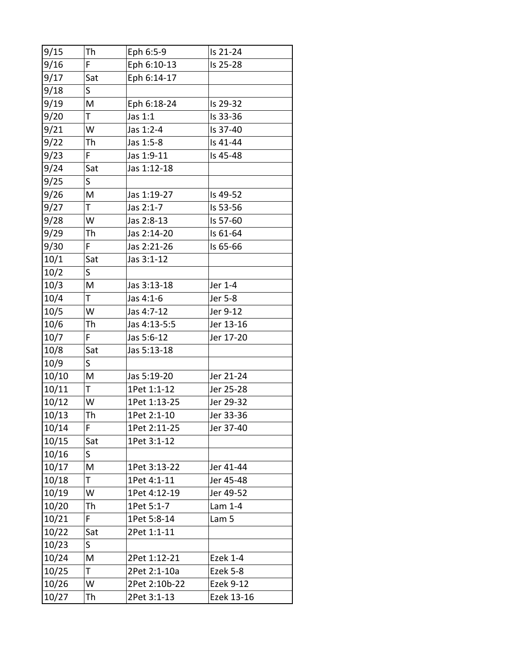| 9/15  | Th  | Eph 6:5-9     | Is 21-24         |
|-------|-----|---------------|------------------|
| 9/16  | F   | Eph 6:10-13   | Is 25-28         |
| 9/17  | Sat | Eph 6:14-17   |                  |
| 9/18  | S   |               |                  |
| 9/19  | M   | Eph 6:18-24   | Is 29-32         |
| 9/20  | T.  | Jas 1:1       | Is 33-36         |
| 9/21  | W   | Jas 1:2-4     | Is 37-40         |
| 9/22  | Th  | Jas 1:5-8     | Is 41-44         |
| 9/23  | F   | Jas 1:9-11    | Is 45-48         |
| 9/24  | Sat | Jas 1:12-18   |                  |
| 9/25  | S   |               |                  |
| 9/26  | M   | Jas 1:19-27   | Is 49-52         |
| 9/27  | T.  | Jas 2:1-7     | Is 53-56         |
| 9/28  | W   | Jas 2:8-13    | Is 57-60         |
| 9/29  | Th  | Jas 2:14-20   | Is 61-64         |
| 9/30  | F.  | Jas 2:21-26   | Is 65-66         |
| 10/1  | Sat | Jas 3:1-12    |                  |
| 10/2  | S   |               |                  |
| 10/3  | M   | Jas 3:13-18   | Jer 1-4          |
| 10/4  | T   | Jas 4:1-6     | Jer 5-8          |
| 10/5  | W   | Jas 4:7-12    | Jer 9-12         |
| 10/6  | Th  | Jas 4:13-5:5  | Jer 13-16        |
| 10/7  | F.  | Jas 5:6-12    | Jer 17-20        |
| 10/8  | Sat | Jas 5:13-18   |                  |
| 10/9  | S.  |               |                  |
| 10/10 | M   | Jas 5:19-20   | Jer 21-24        |
| 10/11 | T   | 1Pet 1:1-12   | Jer 25-28        |
| 10/12 | W   | 1Pet 1:13-25  | Jer 29-32        |
| 10/13 | Th  | 1Pet 2:1-10   | Jer 33-36        |
| 10/14 | F   | 1Pet 2:11-25  | Jer 37-40        |
| 10/15 | Sat | 1Pet 3:1-12   |                  |
| 10/16 | S   |               |                  |
| 10/17 | M   | 1Pet 3:13-22  | Jer 41-44        |
| 10/18 | T   | 1Pet 4:1-11   | Jer 45-48        |
| 10/19 | W   | 1Pet 4:12-19  | Jer 49-52        |
| 10/20 | Th  | 1Pet 5:1-7    | Lam 1-4          |
| 10/21 | F   | 1Pet 5:8-14   | Lam 5            |
| 10/22 | Sat | 2Pet 1:1-11   |                  |
| 10/23 | S   |               |                  |
| 10/24 | M   | 2Pet 1:12-21  | <b>Ezek 1-4</b>  |
| 10/25 | T   | 2Pet 2:1-10a  | Ezek 5-8         |
| 10/26 | W   | 2Pet 2:10b-22 | <b>Ezek 9-12</b> |
| 10/27 | Th  | 2Pet 3:1-13   | Ezek 13-16       |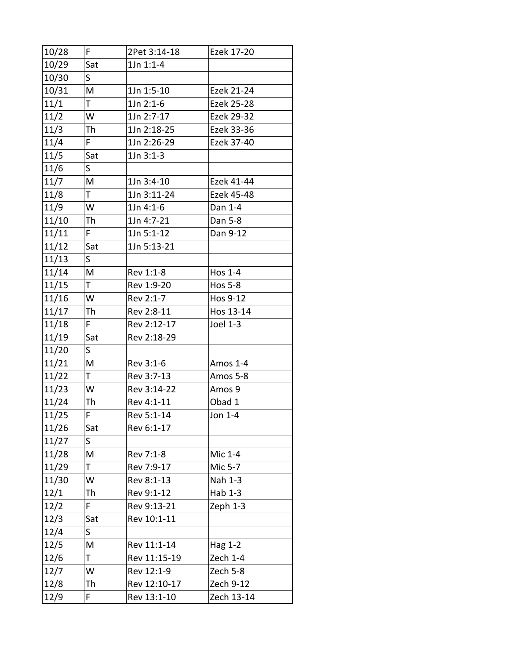| 10/28 | F.           | 2Pet 3:14-18 | Ezek 17-20     |
|-------|--------------|--------------|----------------|
| 10/29 | Sat          | 1Jn 1:1-4    |                |
| 10/30 | $\mathsf{S}$ |              |                |
| 10/31 | M            | 1Jn 1:5-10   | Ezek 21-24     |
| 11/1  | T.           | $1Jn$ 2:1-6  | Ezek 25-28     |
| 11/2  | W            | 1Jn 2:7-17   | Ezek 29-32     |
| 11/3  | Th           | 1Jn 2:18-25  | Ezek 33-36     |
| 11/4  | F.           | 1Jn 2:26-29  | Ezek 37-40     |
| 11/5  | Sat          | $1Jn 3:1-3$  |                |
| 11/6  | $\mathsf{S}$ |              |                |
| 11/7  | M            | 1Jn 3:4-10   | Ezek 41-44     |
| 11/8  | T.           | 1Jn 3:11-24  | Ezek 45-48     |
| 11/9  | W            | 1Jn 4:1-6    | Dan 1-4        |
| 11/10 | Th           | 1Jn 4:7-21   | Dan 5-8        |
| 11/11 | F.           | 1Jn 5:1-12   | Dan 9-12       |
| 11/12 | Sat          | 1Jn 5:13-21  |                |
| 11/13 | $\mathsf{S}$ |              |                |
| 11/14 | M            | Rev 1:1-8    | <b>Hos 1-4</b> |
| 11/15 | T.           | Rev 1:9-20   | <b>Hos 5-8</b> |
| 11/16 | W            | Rev 2:1-7    | Hos 9-12       |
| 11/17 | Th           | Rev 2:8-11   | Hos 13-14      |
| 11/18 | F.           | Rev 2:12-17  | Joel 1-3       |
| 11/19 | Sat          | Rev 2:18-29  |                |
| 11/20 | S            |              |                |
| 11/21 | M            | Rev 3:1-6    | Amos 1-4       |
| 11/22 | T.           | Rev 3:7-13   | Amos 5-8       |
| 11/23 | W            | Rev 3:14-22  | Amos 9         |
| 11/24 | Th           | Rev 4:1-11   | Obad 1         |
| 11/25 | F            | Rev 5:1-14   | Jon 1-4        |
| 11/26 | Sat          | Rev 6:1-17   |                |
| 11/27 | S            |              |                |
| 11/28 | M            | Rev 7:1-8    | Mic 1-4        |
| 11/29 | T.           | Rev 7:9-17   | Mic 5-7        |
| 11/30 | W            | Rev 8:1-13   | Nah 1-3        |
| 12/1  | Th           | Rev 9:1-12   | Hab 1-3        |
| 12/2  | F.           | Rev 9:13-21  | Zeph 1-3       |
| 12/3  | Sat          | Rev 10:1-11  |                |
| 12/4  | $\mathsf{S}$ |              |                |
| 12/5  | Μ            | Rev 11:1-14  | Hag 1-2        |
| 12/6  | Τ            | Rev 11:15-19 | Zech 1-4       |
| 12/7  | W            | Rev 12:1-9   | Zech 5-8       |
| 12/8  | Th           | Rev 12:10-17 | Zech 9-12      |
| 12/9  | F.           | Rev 13:1-10  | Zech 13-14     |